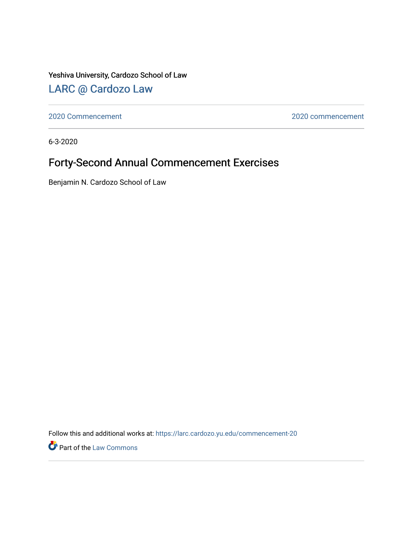Yeshiva University, Cardozo School of Law

# [LARC @ Cardozo Law](https://larc.cardozo.yu.edu/)

[2020 Commencement](https://larc.cardozo.yu.edu/commencement-20) [2020 commencement](https://larc.cardozo.yu.edu/commencement-2020) 

6-3-2020

# Forty-Second Annual Commencement Exercises

Benjamin N. Cardozo School of Law

Follow this and additional works at: [https://larc.cardozo.yu.edu/commencement-20](https://larc.cardozo.yu.edu/commencement-20?utm_source=larc.cardozo.yu.edu%2Fcommencement-20%2F1&utm_medium=PDF&utm_campaign=PDFCoverPages) 

Part of the [Law Commons](https://network.bepress.com/hgg/discipline/578?utm_source=larc.cardozo.yu.edu%2Fcommencement-20%2F1&utm_medium=PDF&utm_campaign=PDFCoverPages)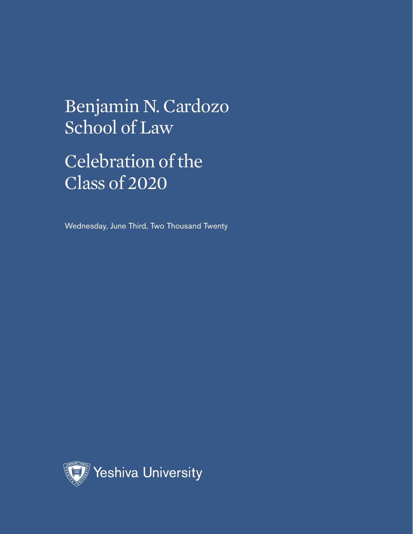Celebration of the Class of 2020

Wednesday, June Third, Two Thousand Twenty

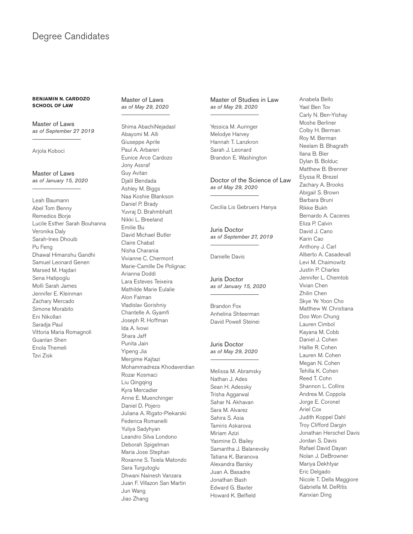### Degree Candidates

#### **BENJAMIN N. CARDOZO SCHOOL OF LAW**

Master of Laws *as of September 27 2019*

Arjola Koboci

Master of Laws *as of January 15, 2020*

Leah Baumann Abel Tom Benny Remedios Borje Lucile Esther Sarah Bouhanna Veronika Daly Sarah-Ines Dhouib Pu Feng Dhawal Himanshu Gandhi Samuel Leonard Genen Marsed M. Hajdari Sena Hatipoglu Molli Sarah James Jennifer E. Kleinman Zachary Mercado Simone Morabito Eni Nikollari Saradja Paul Vittoria Maria Romagnoli Guanlan Shen Enola Themeli Tzvi Zisk

#### Master of Laws *as of May 29, 2020*

Shima AbachiNejadasl Abayomi M. Alli Giuseppe Aprile Paul A. Arbareri Eunice Arce Cardozo Jony Assraf Guy Avitan Djalil Bendada Ashley M. Biggs Naa Koshie Blankson Daniel P. Brady Yuvraj D. Brahmbhatt Nikki L. Breeland Emilie Bu David Michael Butler Claire Chabat Nisha Charania Vivianne C. Chermont Marie-Camille De Polignac Arianna Doddi Lara Esteves Teixeira Mathilde Marie Eulalie Alon Faiman Vladislav Gorishniy Chantelle A. Gyamfi Joseph R. Hoffman Ida A. Ivowi Shara Jaff Punita Jain Yipeng Jia Mergime Kajtazi Mohammadreza Khodaverdian Rozar Kosmaci Liu Qingqing Kyra Mercadier Anne E. Muenchinger Daniel D. Pojero Juliana A. Rigato-Piekarski Federica Romanelli Yuliya Sadyhyan Leandro Silva Londono Deborah Spigelman Maria Jose Stephan Roxanne S. Tsiela Matondo Sara Turgutoglu Dhwani Nainesh Vanzara Juan F. Villazon San Martin Jun Wang Jiao Zhang

#### Master of Studies in Law *as of May 29, 2020*

Yessica M. Auringer Melodye Harvey Hannah T. Lanzkron Sarah J. Leonard Brandon E. Washington

#### Doctor of the Science of Law *as of May 29, 2020*

Cecilia Lis Gebruers Hanya

Juris Doctor *as of September 27, 2019*

Danielle Davis

Juris Doctor *as of January 15, 2020*

Brandon Fox Anhelina Shteerman David Powell Steinei

#### Juris Doctor *as of May 29, 2020*

Melissa M. Abramsky Nathan J. Ades Sean H. Adessky Trisha Aggarwal Sahar N. Akhavan Sara M. Alvarez Sahira S. Asia Tamiris Askarova Miriam Azizi Yasmine D. Bailey Samantha J. Balanevsky Tatiana K. Baranova Alexandra Barsky Juan A. Basadre Jonathan Bash Edward G. Baxter Howard K. Belfield

Anabela Bello Yael Ben Tov Carly N. Ben-Yishay Moshe Berliner Colby H. Berman Roy M. Berman Neelam B. Bhagrath Ilana B. Bier Dylan B. Bolduc Matthew B. Brenner Elyssa R. Brezel Zachary A. Brooks Abigail S. Brown Barbara Bruni Rikke Bukh Bernardo A. Caceres Eliza P. Calvin David J. Cano Karin Cao Anthony J. Carl Alberto A. Casadevall Levi M. Chaimowitz Justin P. Charles Jennifer L. Chemtob Vivian Chen Zhilin Chen Skye Ye Yoon Cho Matthew W. Christiana Doo Won Chung Lauren Cimbol Kayana M. Cobb Daniel J. Cohen Hallie R. Cohen Lauren M. Cohen Megan N. Cohen Tehilla K. Cohen Reed T. Cohn Shannon L. Collins Andrea M. Coppola Jorge E. Coronel Ariel Cox Judith Koppel Dahl Troy Clifford Dargin Jonathan Herschel Davis Jordan S. Davis Rafael David Dayan Nolan J. DeBrowner Mariya Dekhtyar Eric Delgado Nicole T. Della Maggiore Gabriella M. DeRitis Kanxian Ding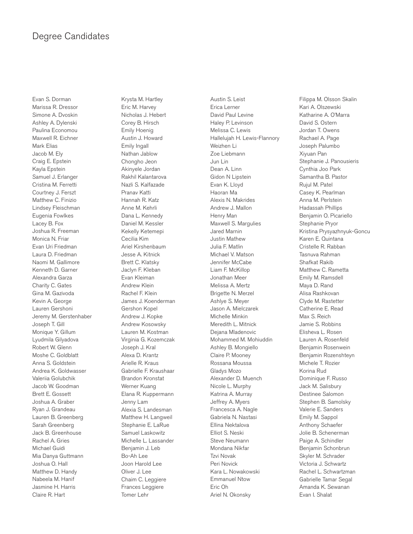### Degree Candidates

Evan S. Dorman Marissa R. Dressor Simone A. Dvoskin Ashley A. Dylenski Paulina Economou Maxwell R. Eichner Mark Elias Jacob M. Ely Craig E. Epstein Kayla Epstein Samuel J. Erlanger Cristina M. Ferretti Courtney J. Ferszt Matthew C. Finizio Lindsey Fleischman Eugenia Fowlkes Lacey B. Fox Joshua R. Freeman Monica N. Friar Evan Uri Friedman Laura D. Friedman Naomi M. Gallimore Kenneth D. Garner Alexandra Garza Charity C. Gates Gina M. Gazivoda Kevin A. George Lauren Gershoni Jeremy M. Gerstenhaber Joseph T. Gill Monique Y. Gillum Lyudmila Gilyadova Robert W. Glenn Moshe C. Goldblatt Anna S. Goldstein Andrea K. Goldwasser Valeriia Golubchik Jacob W. Goodman Brett E. Gossett Joshua A. Graber Ryan J. Grandeau Lauren B. Greenberg Sarah Greenberg Jack B. Greenhouse Rachel A. Gries Michael Guidi Mia Danya Guttmann Joshua O. Hall Matthew D. Handy Nabeela M. Hanif Jasmine H. Harris Claire R. Hart

Krysta M. Hartley Eric M. Harvey Nicholas J. Hebert Corey B. Hirsch Emily Hoenig Austin J. Howard Emily Ingall Nathan Jablow Chongho Jeon Akinyele Jordan Rakhil Kalantarova Nazli S. Kalfazade Pranav Katti Hannah R. Katz Anne M. Kehrli Dana L. Kennedy Daniel M. Kessler Kekelly Ketemepi Cecilia Kim Ariel Kirshenbaum Jesse A. Kitnick Brett C. Klatsky Jaclyn F. Kleban Evan Kleiman Andrew Klein Rachel F. Klein James J. Koenderman Gershon Kopel Andrew J. Kopke Andrew Kosowsky Lauren M. Kostman Virginia G. Kozemczak Joseph J. Kral Alexa D. Krantz Arielle R. Kraus Gabrielle F. Kraushaar Brandon Kronstat Werner Kuang Elana R. Kuppermann Jenny Lam Alexia S. Landesman Matthew H. Langweil Stephanie E. LaRue Samuel Laskowitz Michelle L. Lassander Benjamin J. Leb Bo-Ah Lee Joon Harold Lee Oliver J. Lee Chaim C. Leggiere Frances Leggiere Tomer Lehr

Austin S. Leist Erica Lerner David Paul Levine Haley P. Levinson Melissa C. Lewis Hallelujah H. Lewis-Flannory Weizhen Li Zoe Liebmann Jun Lin Dean A. Linn Gidon N Lipstein Evan K. Lloyd Haoran Ma Alexis N. Makrides Andrew J. Mallon Henry Man Maxwell S. Margulies Jared Marnin Justin Mathew Julia F. Matlin Michael V. Matson Jennifer McCabe Liam F. McKillop Jonathan Meer Melissa A. Mertz Brigette N. Merzel Ashlye S. Meyer Jason A. Mielczarek Michelle Minkin Meredith L. Mitnick Dejana Mladenovic Mohammed M. Mohiuddin Ashley B. Mongiello Claire P. Mooney Rossana Moussa Gladys Mozo Alexander D. Muench Nicole L. Murphy Katrina A. Murray Jeffrey A. Myers Francesca A. Nagle Gabriela N. Nastasi Ellina Nektalova Elliot S. Neski Steve Neumann Mondana Nikfar Tzvi Novak Peri Novick Kara L. Nowakowski Emmanuel Ntow Eric Oh Ariel N. Okonsky

Filippa M. Olsson Skalin Kari A. Olszewski Katharine A. O'Marra David S. Ostern Jordan T. Owens Rachael A. Page Joseph Palumbo Xiyuan Pan Stephanie J. Panousieris Cynthia Joo Park Samantha B. Pastor Rujul M. Patel Casey K. Pearlman Anna M. Perlstein Hadassah Phillips Benjamin O. Picariello Stephanie Pryor Kristina Prysyazhnyuk-Goncu Karen E. Quintana Cristelle R. Rabban Tasnuva Rahman Shafkat Rakib Matthew C. Rametta Emily M. Ramsdell Maya D. Rand Alisa Rashkovan Clyde M. Rastetter Catherine E. Read Max S. Reich Jamie S. Robbins Elisheva L. Rosen Lauren A. Rosenfeld Benjamin Rosenwein Benjamin Rozenshteyn Michele T. Rozier Korina Rud Dominique F. Russo Jack M. Salisbury Destinee Salomon Stephen B. Samolsky Valerie E. Sanders Emily M. Sappol Anthony Schaefer Jolie B. Schenerman Paige A. Schindler Benjamin Schonbrun Skyler M. Schrader Victoria J. Schwartz Rachel L. Schwartzman Gabrielle Tamar Segal Amanda K. Sewanan Evan I. Shalat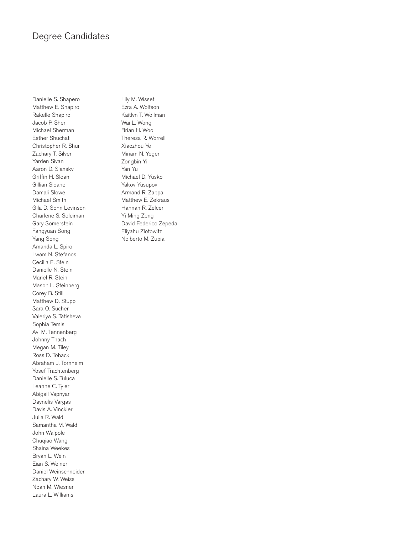### Degree Candidates

Danielle S. Shapero Matthew E. Shapiro Rakelle Shapiro Jacob P. Sher Michael Sherman Esther Shuchat Christopher R. Shur Zachary T. Silver Yarden Sivan Aaron D. Slansky Griffin H. Sloan Gillian Sloane Damali Slowe Michael Smith Gila D. Sohn Levinson Charlene S. Soleimani Gary Somerstein Fangyuan Song Yang Song Amanda L. Spiro Lwam N. Stefanos Cecilia E. Stein Danielle N. Stein Mariel R. Stein Mason L. Steinberg Corey B. Still Matthew D. Stupp Sara O. Sucher Valeriya S. Tatisheva Sophia Temis Avi M. Tennenberg Johnny Thach Megan M. Tiley Ross D. Toback Abraham J. Tornheim Yosef Trachtenberg Danielle S. Tuluca Leanne C. Tyler Abigail Vapnyar Daynelis Vargas Davis A. Vinckier Julia R. Wald Samantha M. Wald John Walpole Chuqiao Wang Shaina Weekes Bryan L. Wein Eian S. Weiner Daniel Weinschneider Zachary W. Weiss Noah M. Wiesner Laura L. Williams

Lily M. Wisset Ezra A. Wolfson Kaitlyn T. Wollman Wai L. Wong Brian H. Woo Theresa R. Worrell Xiaozhou Ye Miriam N. Yeger Zongbin Yi Yan Yu Michael D. Yusko Yakov Yusupov Armand R. Zappa Matthew E. Zekraus Hannah R. Zelcer Yi Ming Zeng David Federico Zepeda Eliyahu Zlotowitz Nolberto M. Zubia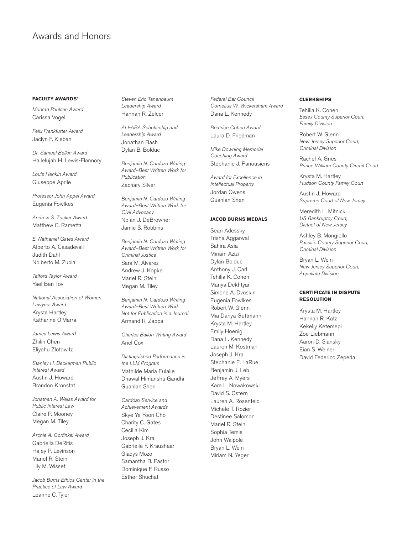### Awards and Honors

#### **FACULTY AWARDS\***

*Monrad Paulsen Award* Carissa Vogel

*Felix Frankfurter Award* Jaclyn F. Kleban

*Dr. Samuel Belkin Award* Hallelujah H. Lewis-Flannory

*Louis Henkin Award* Giuseppe Aprile

*Professor John Appel Award* Eugenia Fowlkes

*Andrew S. Zucker Award* Matthew C. Rametta

*E. Nathaniel Gates Award* Alberto A. Casadevall Judith Dahl Nolberto M. Zubia

*Telford Taylor Award* Yael Ben Tov

*National Association of Women Lawyers Award* Krysta Hartley Katharine O'Marra

*James Lewis Award* Zhilin Chen Eliyahu Zlotowitz

*Stanley H. Beckerman Public Interest Award* Austin J. Howard Brandon Kronstat

*Jonathan A. Weiss Award for Public Interest Law* Claire P. Mooney Megan M. Tiley

*Archie A. Gorfinkel Award* Gabriella DeRitis Haley P. Levinson Mariel R. Stein Lily M. Wisset

*Jacob Burns Ethics Center in the Practice of Law Award* Leanne C. Tyler

*Steven Eric Tanenbaum Leadership Award* Hannah R. Zelcer

*ALI-ABA Scholarship and Leadership Award* Jonathan Bash Dylan B. Bolduc

*Benjamin N. Cardozo Writing Award–Best Written Work for Publication*  Zachary Silver

*Benjamin N. Cardozo Writing Award–Best Written Work for Civil Advocacy*  Nolan J. DeBrowner Jamie S. Robbins

*Benjamin N. Cardozo Writing Award–Best Written Work for Criminal Justice*  Sara M. Alvarez Andrew J. Kopke Mariel R. Stein Megan M. Tiley

*Benjamin N. Cardozo Writing Award–Best Written Work Not for Publication in a Journal* Armand R. Zappa

*Charles Ballon Writing Award* Ariel Cox

*Distinguished Performance in the LLM Program* Mathilde Maria Eulalie Dhawal Himanshu Gandhi Guanlan Shen

*Cardozo Service and Achievement Awards* Skye Ye Yoon Cho Charity C. Gates Cecilia Kim Joseph J. Kral Gabrielle F. Kraushaar Gladys Mozo Samantha B. Pastor Dominique F. Russo Esther Shuchat

*Federal Bar Council Cornelius W. Wickersham Award* Dana L. Kennedy

*Beatrice Cohen Award* Laura D. Friedman

*Mike Downing Memorial Coaching Award* Stephanie J. Panousieris

*Award for Excellence in Intellectual Property* Jordan Owens Guanlan Shen

#### **JACOB BURNS MEDALS**

Sean Adessky Trisha Aggarwal Sahira Asia Miriam Azizi Dylan Bolduc Anthony J. Carl Tehilla K. Cohen Mariya Dekhtyar Simone A. Dvoskin Eugenia Fowlkes Robert W. Glenn Mia Danya Guttmann Krysta M. Hartley Emily Hoenig Dana L. Kennedy Lauren M. Kostman Joseph J. Kral Stephanie E. LaRue Benjamin J. Leb Jeffrey A. Myers Kara L. Nowakowski David S. Ostern Lauren A. Rosenfeld Michele T. Rozier Destinee Salomon Mariel R. Stein Sophia Temis John Walpole Bryan L. Wein Miriam N. Yeger

#### **CLERKSHIPS**

Tehilla K. Cohen *Essex County Superior Court, Family Division*

Robert W. Glenn *New Jersey Superior Court, Criminal Division*

Rachel A. Gries *Prince William County Circuit Court*

Krysta M. Hartley *Hudson County Family Court* 

Austin J. Howard *Supreme Court of New Jersey*

Meredith L. Mitnick *US Bankruptcy Court, District of New Jersey*

Ashley B. Mongiello *Passaic County Superior Court, Criminal Division*

Bryan L. Wein *New Jersey Superior Court, Appellate Division*

#### **CERTIFICATE IN DISPUTE RESOLUTION**

Krysta M. Hartley Hannah R. Katz Kekelly Ketemepi Zoe Liebmann Aaron D. Slansky Eian S. Weiner David Federico Zepeda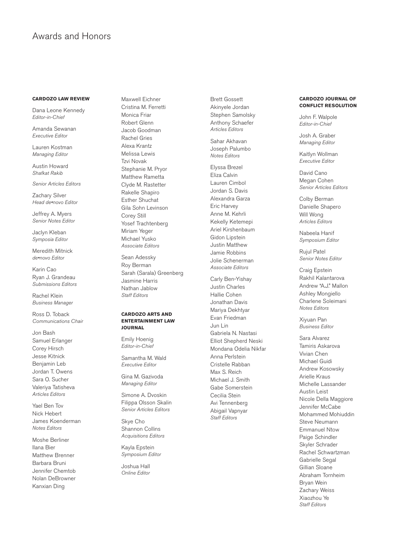### Awards and Honors

#### **CARDOZO LAW REVIEW**

Dana Leone Kennedy *Editor-in-Chief*

Amanda Sewanan *Executive Editor*

Lauren Kostman *Managing Editor*

Austin Howard *Shafkat Rakib*

*Senior Articles Editors*

Zachary Silver *Head de•novo Editor*

Jeffrey A. Myers *Senior Notes Editor*

Jaclyn Kleban *Symposia Editor*

Meredith Mitnick *de•novo Editor*

Karin Cao Ryan J. Grandeau *Submissions Editors*

Rachel Klein *Business Manager*

Ross D. Toback *Communications Chair*

Jon Bash Samuel Erlanger Corey Hirsch Jesse Kitnick Benjamin Leb Jordan T. Owens Sara O. Sucher Valeriya Tatisheva *Articles Editors*

Yael Ben Tov Nick Hebert James Koenderman *Notes Editors*

Moshe Berliner Ilana Bier Matthew Brenner Barbara Bruni Jennifer Chemtob Nolan DeBrowner Kanxian Ding

Maxwell Eichner Cristina M. Ferretti Monica Friar Robert Glenn Jacob Goodman Rachel Gries Alexa Krantz Melissa Lewis Tzvi Novak Stephanie M. Pryor Matthew Rametta Clyde M. Rastetter Rakelle Shapiro Esther Shuchat Gila Sohn Levinson Corey Still Yosef Trachtenberg Miriam Yeger Michael Yusko *Associate Editors*

Sean Adessky Roy Berman Sarah (Sarala) Greenberg Jasmine Harris Nathan Jablow *Staff Editors*

#### **CARDOZO ARTS AND ENTERTAINMENT LAW JOURNAL**

Emily Hoenig *Editor-in-Chief*

Samantha M. Wald *Executive Editor*

Gina M. Gazivoda *Managing Editor*

Simone A. Dvoskin Filippa Olsson Skalin *Senior Articles Editors*

Skye Cho Shannon Collins *Acquisitions Editors*

Kayla Epstein *Symposium Editor*

Joshua Hall *Online Editor* Brett Gossett Akinyele Jordan Stephen Samolsky Anthony Schaefer *Articles Editors*

Sahar Akhavan Joseph Palumbo *Notes Editors*

Elyssa Brezel Eliza Calvin Lauren Cimbol Jordan S. Davis Alexandra Garza Eric Harvey Anne M. Kehrli Kekelly Ketemepi Ariel Kirshenbaum Gidon Lipstein Justin Matthew Jamie Robbins Jolie Schenerman *Associate Editors*

Carly Ben-Yishay Justin Charles Hallie Cohen Jonathan Davis Mariya Dekhtyar Evan Friedman Jun Lin Gabriela N. Nastasi Elliot Shepherd Neski Mondana Odelia Nikfar Anna Perlstein Cristelle Rabban Max S. Reich Michael J. Smith Gabe Somerstein Cecilia Stein Avi Tennenberg Abigail Vapnyar *Staff Editors*

#### **CARDOZO JOURNAL OF CONFLICT RESOLUTION**

John F. Walpole *Editor-in-Chief*

Josh A. Graber *Managing Editor*

Kaitlyn Wollman *Executive Editor*

David Cano Megan Cohen *Senior Articles Editors*

Colby Berman Danielle Shapero Will Wong *Articles Editors*

Nabeela Hanif *Symposium Editor*

Rujul Patel *Senior Notes Editor*

Craig Epstein Rakhil Kalantarova Andrew "A.J." Mallon Ashley Mongiello Charlene Soleimani *Notes Editors*

Xiyuan Pan *Business Editor*

Sara Alvarez Tamiris Askarova Vivian Chen Michael Guidi Andrew Kosowsky Arielle Kraus Michelle Lassander Austin Leist Nicole Della Maggiore Jennifer McCabe Mohammed Mohiuddin Steve Neumann Emmanuel Ntow Paige Schindler Skyler Schrader Rachel Schwartzman Gabrielle Segal Gillian Sloane Abraham Tornheim Bryan Wein Zachary Weiss Xiaozhou Ye *Staff Editors*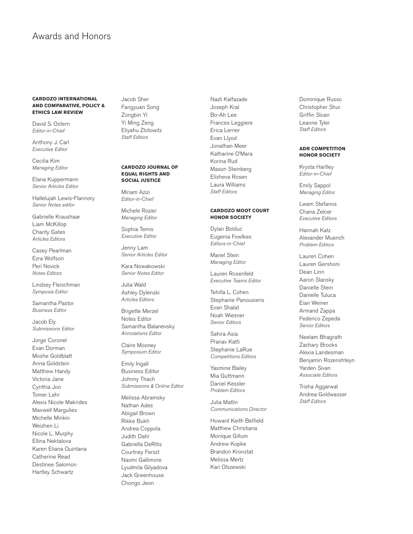### Awards and Honors

#### **CARDOZO INTERNATIONAL AND COMPARATIVE, POLICY & ETHICS LAW REVIEW**

David S. Ostern *Editor-in-Chief*

Anthony J. Carl *Executive Editor*

Cecilia Kim *Managing Editor*

Elana Kuppermann *Senior Articles Editor*

Hallelujah Lewis-Flannory *Senior Notes editor*

Gabrielle Kraushaar Liam McKillop Charity Gates *Articles Editors*

Casey Pearlman Ezra Wolfson Peri Novick *Notes Editors*

Lindsey Fleischman *Symposia Editor*

Samantha Pastor *Business Editor*

Jacob Ely *Submissions Editor*

Jorge Coronel Evan Dorman Moshe Goldblatt Anna Goldstein Matthew Handy Victoria Jane Cynthia Joo Tomer Lehr Alexis Nicole Makrides Maxwell Margulies Michelle Minkin Weizhen Li Nicole L. Murphy Ellina Nektalova Karen Eliana Quintana Catherine Read Destinee Salomon Hartley Schwartz

Jacob Sher Fangyuan Song Zongbin Yi Yi Ming Zeng Eliyahu Zlotowitz *Staff Editors*

#### **CARDOZO JOURNAL OF EQUAL RIGHTS AND SOCIAL JUSTICE**

Miriam Azizi *Editor-in-Chief*

Michele Rozier *Managing Editor*

Sophia Temis *Executive Editor*

Jenny Lam *Senior Articles Editor*

Kara Nowakowski *Senior Notes Editor*

Julia Wald Ashley Dylenski *Articles Editors*

Brigette Merzel Notes Editor Samantha Balanevsky *Annotations Editor*

Claire Mooney *Symposium Editor*

Emily Ingall Business Editor Johnny Thach *Submissions & Online Editor*

Melissa Abramsky Nathan Ades Abigail Brown Rikke Bukh Andrea Coppola Judith Dahl Gabriella DeRitis Courtney Ferszt Naomi Gallimore Lyudmila Gilyadova Jack Greenhouse Chongo Jeon

Nazli Kalfazade Joseph Kral Bo-Ah Lee Frances Leggiere Erica Lerner Evan Llyod Jonathan Meer Katharine O'Mara Korina Rud Mason Steinberg Elisheva Rosen Laura Williams *Staff Editors*

#### **CARDOZO MOOT COURT HONOR SOCIETY**

Dylan Bolduc Eugenia Fowlkes *Editors-in-Chief*

Mariel Stein *Managing Editor*

Lauren Rosenfeld *Executive Teams Editor*

Tehilla L. Cohen Stephanie Panousieris Evan Shalat Noah Wiesner *Senior Editors*

Sahira Asia Pranav Katti Stephanie LaRue *Competitions Editors*

Yasmine Bailey Mia Guttmann Daniel Kessler *Problem Editors*

Julia Matlin *Communications Director* 

Howard Keith Belfield Matthew Christiana Monique Gillum Andrew Kopke Brandon Kronstat Melissa Mertz Kari Olszewski

Dominique Russo Christopher Shur Griffin Sloan Leanne Tyler *Staff Editors*

#### **ADR COMPETITION HONOR SOCIETY**

Krysta Hartley *Editor-in-Chief*

Emily Sappol *Managing Editor*

Lwam Stefanos Chana Zelcer *Executive Editors*

Hannah Katz Alexander Muench *Problem Editors*

Lauren Cohen Lauren Gershoni Dean Linn Aaron Slansky Danielle Stein Danielle Tuluca Eian Weiner Armand Zappa Federico Zepeda *Senior Editors*

Neelam Bhagrath Zachary Brooks Alexia Landesman Benjamin Rozenshteyn Yarden Sivan *Associate Editors*

Trisha Aggarwal Andrea Goldwasser *Staff Editors*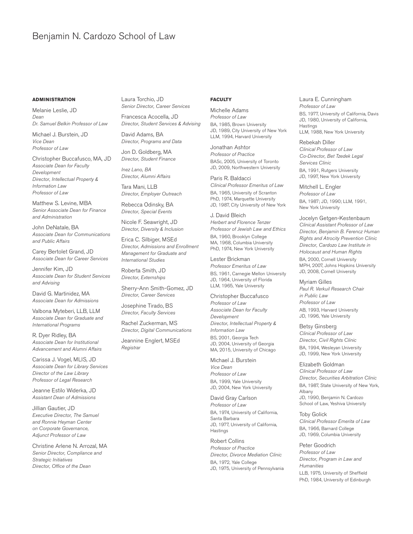#### **ADMINISTRATION**

Melanie Leslie, JD *Dean Dr. Samuel Belkin Professor of Law*

Michael J. Burstein, JD *Vice Dean Professor of Law*

Christopher Buccafusco, MA, JD *Associate Dean for Faculty Development Director, Intellectual Property & Information Law Professor of Law*

Matthew S. Levine, MBA *Senior Associate Dean for Finance and Administration*

John DeNatale, BA *Associate Dean for Communications and Public Affairs*

Carey Bertolet Grand, JD *Associate Dean for Career Services*

Jennifer Kim, JD *Associate Dean for Student Services and Advising*

David G. Martinidez, MA *Associate Dean for Admissions*

Valbona Myteberi, LLB, LLM *Associate Dean for Graduate and International Programs*

R. Dyer Ridley, BA *Associate Dean for Institutional Advancement and Alumni Affairs*

Carissa J. Vogel, MLIS, JD *Associate Dean for Library Services Director of the Law Library Professor of Legal Research*

Jeanne Estilo Widerka, JD *Assistant Dean of Admissions*

Jillian Gautier, JD *Executive Director, The Samuel and Ronnie Heyman Center on Corporate Governance, Adjunct Professor of Law*

Christine Arlene N. Arrozal, MA *Senior Director, Compliance and Strategic Initiatives Director, Office of the Dean*

Laura Torchio, JD *Senior Director, Career Services*

Francesca Acocella, JD *Director, Student Services & Advising*

David Adams, BA *Director, Programs and Data*

Jon D. Goldberg, MA *Director, Student Finance*

*Inez Lano, BA Director, Alumni Affairs*

Tara Mani, LLB *Director, Employer Outreach*

Rebecca Odinsky, BA *Director, Special Events*

Nicole F. Seawright, JD *Director, Diversity & Inclusion*

Erica C. Silbiger, MSEd *Director, Admissions and Enrollment Management for Graduate and International Studies*

Roberta Smith, JD *Director, Externships*

Sherry-Ann Smith-Gomez, JD *Director, Career Services*

Josephine Tirado, BS *Director, Faculty Services*

Rachel Zuckerman, MS *Director, Digital Communications*

Jeannine Englert, MSEd *Registrar*

#### **FACULTY**

Michelle Adams *Professor of Law* BA, 1985, Brown University JD, 1989, City University of New York LLM, 1994, Harvard University

Jonathan Ashtor *Professor of Practice* BASc, 2005, University of Toronto JD, 2009, Northwestern University

Paris R. Baldacci *Clinical Professor Emeritus of Law* BA, 1965, University of Scranton PhD, 1974, Marquette University JD, 1987, City University of New York

J. David Bleich *Herbert and Florence Tenzer Professor of Jewish Law and Ethics* BA, 1960, Brooklyn College MA, 1968, Columbia University PhD, 1974, New York University

Lester Brickman *Professor Emeritus of Law* BS, 1961, Carnegie Mellon University JD, 1964, University of Florida LLM, 1965, Yale University

Christopher Buccafusco *Professor of Law Associate Dean for Faculty Development Director, Intellectual Property & Information Law* BS, 2001, Georgia Tech

JD, 2004, University of Georgia MA, 2015, University of Chicago

Michael J. Burstein *Vice Dean Professor of Law* BA, 1999, Yale University JD, 2004, New York University

David Gray Carlson *Professor of Law* BA, 1974, University of California, Santa Barbara JD, 1977, University of California, Hastings

Robert Collins *Professor of Practice Director, Divorce Mediation Clinic* BA, 1972, Yale College JD, 1975, University of Pennsylvania Laura E. Cunningham *Professor of Law* BS, 1977, University of California, Davis JD, 1980, University of California, Hastings LLM, 1988, New York University

Rebekah Diller *Clinical Professor of Law Co-Director, Bet Tzedek Legal Services Clinic* BA, 1991, Rutgers University JD, 1997, New York University

Mitchell L. Engler *Professor of Law* BA, 1987; JD, 1990; LLM, 1991, New York University

Jocelyn Getgen-Kestenbaum *Clinical Assistant Professor of Law Director, Benjamin B. Ferencz Human Rights and Atrocity Prevention Clinic Director, Cardozo Law Institute in Holocaust and Human Rights* BA, 2000, Cornell University MPH, 2007, Johns Hopkins University JD, 2008, Cornell University

Myriam Gilles *Paul R. Verkuil Research Chair in Public Law Professor of Law* AB, 1993, Harvard University JD, 1996, Yale University

Betsy Ginsberg *Clinical Professor of Law Director, Civil Rights Clinic* BA, 1994, Wesleyan University JD, 1999, New York University

Elizabeth Goldman *Clinical Professor of Law Director, Securities Arbitration Clinic* BA, 1987, State University of New York, Albany JD, 1990, Benjamin N. Cardozo School of Law, Yeshiva University

Toby Golick *Clinical Professor Emerita of Law* BA, 1966, Barnard College JD, 1969, Columbia University

#### Peter Goodrich

*Professor of Law Director, Program in Law and Humanities* LLB, 1975, University of Sheffield PhD, 1984, University of Edinburgh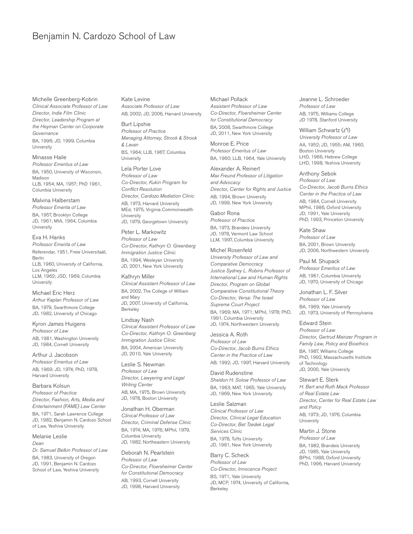Michelle Greenberg-Kobrin *Clinical Associate Professor of Law Director, Indie Film Clinic Director, Leadership Program at the Heyman Center on Corporate Governance* BA, 1996; JD, 1999, Columbia

University

Minasse Haile *Professor Emeritus of Law* BA, 1950, University of Wisconsin, Madison LLB, 1954; MA, 1957; PhD 1961, Columbia University

Malvina Halberstam *Professor Emerita of Law* BA, 1957, Brooklyn College JD, 1961; MIA, 1964, Columbia University

Eva H. Hanks *Professor Emerita of Law* Referendar, 1951, Freie Universitaät, Berlin LLB, 1960, University of California, Los Angeles LLM, 1962; JSD, 1969, Columbia **University** 

Michael Eric Herz *Arthur Kaplan Professor of Law* BA, 1979, Swarthmore College JD, 1982, University of Chicago

Kyron James Huigens *Professor of Law* AB, 1981, Washington University JD, 1984, Cornell University

Arthur J. Jacobson *Professor Emeritus of Law* AB, 1969; JD, 1974; PhD, 1978, Harvard University

Barbara Kolsun *Professor of Practice Director, Fashion, Arts, Media and Entertainment (FAME) Law Center* BA, 1971, Sarah Lawrence College JD, 1982, Benjamin N. Cardozo School of Law, Yeshiva University

Melanie Leslie *Dean Dr. Samuel Belkin Professor of Law* BA, 1983, University of Oregon

JD, 1991, Benjamin N. Cardozo School of Law, Yeshiva University Kate Levine *Associate Professor of Law* AB, 2002; JD, 2006, Harvard University

Burt Lipshie *Professor of Practice Managing Attorney, Strook & Strook & Lavan* BS, 1964; LLB, 1967, Columbia University

Lela Porter Love *Professor of Law Co-Director, Kukin Program for Conflict Resolution Director, Cardozo Mediation Clinic* AB, 1973, Harvard University MEd, 1975, Virginia Commonwealth University JD, 1979, Georgetown University

Peter L. Markowitz *Professor of Law Co-Director, Kathryn O. Greenberg Immigration Justice Clinic* BA, 1994, Wesleyan University JD, 2001, New York University

Kathryn Miller *Clinical Assistant Professor of Law* BA, 2002, The College of William and Mary JD, 2007, University of California, Berkeley

Lindsay Nash *Clinical Assistant Professor of Law Co-Director, Kathryn O. Greenberg Immigration Justice Clinic* BA, 2004, American University JD, 2010, Yale University

Leslie S. Newman *Professor of Law Director, Lawyering and Legal Writing Center* AB, MA, 1975, Brown University JD, 1978, Boston University

Jonathan H. Oberman *Clinical Professor of Law Director, Criminal Defense Clinic* BA, 1974; MA, 1976; MPhil, 1979, Columbia University JD, 1982, Northeastern University

Deborah N. Pearlstein *Professor of Law Co-Director, Floersheimer Center for Constitutional Democracy* AB, 1993, Cornell University JD, 1998, Harvard University

Michael Pollack *Assistant Professor of Law Co-Director, Floersheimer Center for Constitutional Democracy* BA, 2008, Swarthmore College JD, 2011, New York University

Monroe E. Price *Professor Emeritus of Law* BA, 1960; LLB, 1964, Yale University

Alexander A. Reinert *Max Freund Professor of Litigation and Advocacy Director, Center for Rights and Justice* AB, 1994, Brown University JD, 1999, New York University

Gabor Rona *Professor of Practice* BA, 1973, Brandeis University JD, 1978, Vermont Law School LLM, 1997, Columbia University

Michel Rosenfeld *University Professor of Law and Comparative Democracy Justice Sydney L. Robins Professor of International Law and Human Rights Director, Program on Global Comparative Constitutional Theory Co-Director, Versa: The Israel Supreme Court Project* BA, 1969; MA, 1971; MPhil, 1978; PhD, 1991, Columbia University JD, 1974, Northwestern University

Jessica A. Roth *Professor of Law Co-Director, Jacob Burns Ethics Center in the Practice of Law* AB, 1992; JD, 1997, Harvard University

David Rudenstine *Sheldon H. Solow Professor of Law* BA, 1963; MAT, 1965, Yale University JD, 1969, New York University

Leslie Salzman *Clinical Professor of Law Director, Clinical Legal Education Co-Director, Bet Tzedek Legal Services Clinic* BA, 1978, Tufts University JD, 1981, New York University

Barry C. Scheck *Professor of Law Co-Director, Innocence Project* BS, 1971, Yale University JD, MCP, 1974, University of California, Berkeley

Jeanne L. Schroeder *Professor of Law* AB, 1975, Williams College JD 1978, Stanford University

William Schwartz (z"l) *University Professor of Law* AA, 1952; JD, 1955; AM, 1960, Boston University LHD, 1966, Hebrew College LHD, 1998, Yeshiva University

Anthony Sebok *Professor of Law Co-Director, Jacob Burns Ethics Center in the Practice of Law* AB, 1984, Cornell University MPhil, 1986, Oxford University JD, 1991, Yale University PhD, 1993, Princeton University

Kate Shaw *Professor of Law* BA, 2001, Brown University JD, 2006, Northwestern University

Paul M. Shupack *Professor Emeritus of Law* AB, 1961, Columbia University JD, 1970, University of Chicago

Jonathan L. F. Silver *Professor of Law* BA, 1969, Yale University JD, 1973, University of Pennsylvania

Edward Stein *Professor of Law Director, Gertrud Mainzer Program in Family Law, Policy and Bioethics* BA, 1987, Williams College PhD, 1992, Massachusetts Institute of Technology JD, 2000, Yale University

Stewart E. Sterk *H. Bert and Ruth Mack Professor of Real Estate Law Director, Center for Real Estate Law and Policy* AB, 1973; JD, 1976, Columbia University

Martin J. Stone *Professor of Law* BA, 1982, Brandeis University JD, 1985, Yale University BPhil, 1988, Oxford University PhD, 1996, Harvard University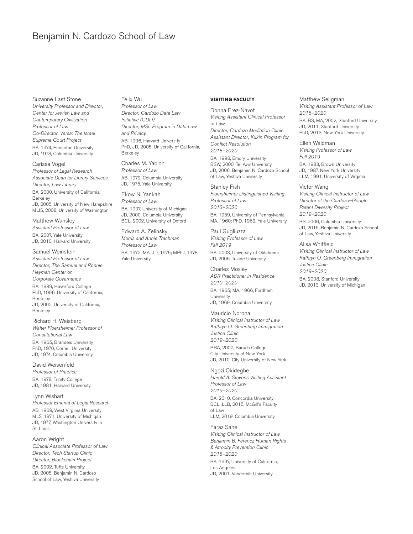Suzanne Last Stone *University Professor and Director, Center for Jewish Law and Contemporary Civilization Professor of Law Co-Director, Versa: The Israel Supreme Court Project* BA, 1974, Princeton University JD, 1978, Columbia University

Carissa Vogel *Professor of Legal Research Associate Dean for Library Services Director, Law Library* BA, 2000, University of California, Berkeley JD, 2005, University of New Hampshire MLIS, 2008, University of Washington

Matthew Wansley *Assistant Professor of Law* BA, 2007, Yale University JD, 2010, Harvard University

Samuel Weinstein *Assistant Professor of Law Director, The Samuel and Ronnie Heyman Center on Corporate Governance* BA, 1989, Haverford College PhD, 1996, University of California, Berkeley JD, 2002, University of California, Berkeley

Richard H. Weisberg *Walter Floersheimer Professor of Constitutional Law* BA, 1965, Brandeis University PhD, 1970, Cornell University JD, 1974, Columbia University

#### David Weisenfeld *Professor of Practice* BA, 1978, Trinity College

JD, 1981, Harvard University Lynn Wishart

*Professor Emerita of Legal Research* AB, 1969, West Virginia University MLS, 1971, University of Michigan JD, 1977, Washington University in St. Louis

#### Aaron Wright

*Clinical Associate Professor of Law Director, Tech Startup Clinic Director, Blockchain Project* BA, 2002, Tufts University JD, 2005, Benjamin N. Cardozo School of Law, Yeshiva University

Felix Wu *Professor of Law Director, Cardozo Data Law Initiative (CDLI) Director, MSL Program in Data Law and Privacy* AB, 1996, Harvard University PhD, JD, 2005, University of California, Berkeley

Charles M. Yablon *Professor of Law* AB, 1972, Columbia University JD, 1975, Yale University

Ekow N. Yankah *Professor of Law* BA, 1997, University of Michigan JD, 2000, Columbia University BCL, 2002, University of Oxford

Edward A. Zelinsky *Morris and Annie Trachman Professor of Law* BA, 1972; MA, JD, 1975; MPhil, 1978, Yale University

#### **VISITING FACULTY**

Donna Erez-Navot *Visiting Assistant Clinical Professor of Law Director, Cardozo Mediation Clinic Assistant Director, Kukin Program for Conflict Resolution 2018–2020* BA, 1998, Emory University BSW, 2000, Tel Aviv University JD, 2006, Benjamin N. Cardozo School of Law, Yeshiva University

Stanley Fish *Floersheimer Distinguished Visiting Professor of Law 2013–2020* BA, 1959, University of Pennsylvania MA, 1960; PhD, 1962, Yale University

Paul Gugliuzza *Visiting Professor of Law Fall 2019* BA, 2003, University of Oklahoma JD, 2006, Tulane University

Charles Moxley *ADR Practitioner in Residence 2010–2020* BA, 1965; MA, 1966, Fordham **University** JD, 1969, Columbia University

Mauricio Norona *Visiting Clinical Instructor of Law Kathryn O. Greenberg Immigration Justice Clinic 2019–2020* BBA, 2002, Baruch College, City University of New York JD, 2010, City University of New York

Ngozi Okidegbe *Harold A. Stevens Visiting Assistant Professor of Law 2019–2020* BA, 2010, Concordia University BCL, LLB, 2015, McGill's Faculty of Law LLM, 2019, Columbia University

Faraz Sanei *Visiting Clinical Instructor of Law Benjamin B. Ferencz Human Rights & Atrocity Prevention Clinic 2018–2020* BA, 1997, University of California, Los Angeles JD, 2001, Vanderbilt University

Matthew Seligman *Visiting Assistant Professor of Law 2018–2020*

BA, BS, MA, 2002, Stanford University JD, 2011, Stanford University PhD, 2013, New York University

Ellen Waldman *Visiting Professor of Law Fall 2019* BA, 1983, Brown University JD, 1987, New York University LLM, 1991, University of Virginia

Victor Wang *Visiting Clinical Instructor of Law Director of the Cardozo–Google Patent Diversity Project 2019–2020* BS, 2006, Columbia University JD, 2015, Benjamin N. Cardozo School of Law, Yeshiva University

Alisa Whitfield *Visiting Clinical Instructor of Law Kathryn O. Greenberg Immigration Justice Clinic 2019–2020* BA, 2008, Stanford University

JD, 2013, University of Michigan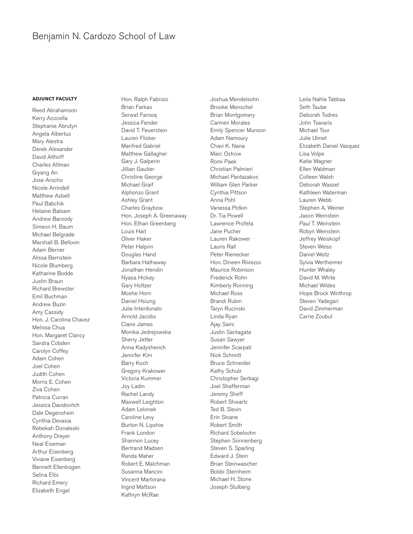#### **ADJUNCT FACULTY**

Reed Abrahamson Kerry Acocella Stephanie Abrutyn Angela Albertus Mary Alestra Derek Alexander David Althoff Charles Altman Giyang An Jose Arocho Nicole Arrindell Matthew Asbell Paul Babchik Helaine Balsam Andrew Baroody Simeon H. Baum Michael Belgrade Marshall B. Bellovin Adam Berner Alissa Bernstein Nicole Blumberg Katharine Bodde Justin Braun Richard Brewster Emil Buchman Andrew Buzin Amy Cassidy Hon. J. Carolina Chavez Melissa Chua Hon. Margaret Clancy Sandra Cobden Carolyn Coffey Adam Cohen Joel Cohen Judith Cohen Morris E. Cohen Ziva Cohen Patricia Curran Jessica Davidovitch Dale Degenshein Cynthia Devasia Rebekah Donaleski Anthony Dreyer Neal Eiseman Arthur Eisenberg Viviane Eisenberg Bennett Ellenbogen Selina Ellis Richard Emery Elizabeth Engel

Hon. Ralph Fabrizio Brian Farkas Serwat Farooq Jessica Fender David T. Feuerstein Lauren Flicker Manfred Gabriel Matthew Gallagher Gary J. Galperin Jillian Gautier Christine George Michael Graif Alphonzo Grant Ashley Grant Charles Graybow Hon. Joseph A. Greenaway Hon. Ethan Greenberg Louis Hait Oliver Haker Peter Halprin Douglas Hand Barbara Hathaway Jonathan Hendin Nyasa Hickey Gary Holtzer Moshe Horn Daniel Hsiung Julie Interdonato Arnold Jacobs Claire James Monika Jedrejowska Sherry Jetter Anna Kadyshevich Jennifer Kim Barry Koch Gregory Krakower Victoria Kummer Joy Ladin Rachel Landy Maxwell Leighton Adam Lelonek Caroline Levy Burton N. Lipshie Frank London Shannon Lucey Bertrand Madsen Randa Maher Robert E. Malchman Susanna Mancini Vincent Martorana Ingrid Mattson Kathryn McRae

Joshua Mendelsohn Brooke Menschel Brian Montgomery Carmen Morales Emily Spencer Munson Adam Namoury Chavi K. Nana Marc Ostrow Romi Paek Christian Palmieri Michael Pantazakos William Glen Parker Cynthia Pittson Anna Pohl Vanessa Potkin Dr. Tia Powell Lawrence Profeta Jane Pucher Lauren Rakower Lauris Rall Peter Rienecker Hon. Dineen Riviezzo Maurice Robinson Frederick Rohn Kimberly Ronning Michael Ross Brandi Rubin Taryn Rucinski Linda Ryan Ajay Saini Justin Santagata Susan Sawyer Jennifer Scarpati Nick Schmitt Bruce Schneider Kathy Schulz Christopher Serbagi Joel Shafferman Jeremy Sheff Robert Shwartz Ted B. Slevin Erin Sloane Robert Smith Richard Sobelsohn Stephen Sonnenberg Steven S. Sparling Edward J. Stein Brian Steinwascher Bobbi Sternheim Michael H. Stone Joseph Stulberg

Leila Nahla Tabbaa Seth Taube Deborah Todres John Tsavaris Michael Tsur Julie Ulmet Elizabeth Daniel Vasquez Lisa Volpe Katie Wagner Ellen Waldman Colleen Walsh Deborah Wassel Kathleen Waterman Lauren Webb Stephen A. Weiner Jason Weinstein Paul T. Weinstein Robyn Weinstein Jeffrey Weiskopf Steven Weiss Daniel Weitz Sylvia Wertheimer Hunter Whaley David M. White Michael Wildes Hope Brock Winthrop Steven Yadegari David Zimmerman Carrie Zoubul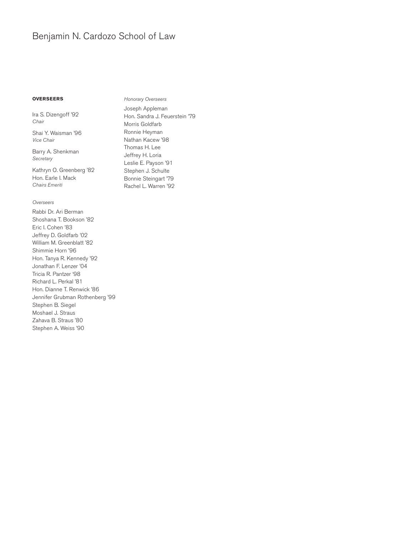#### **OVERSEERS**

Ira S. Dizengoff '92 *Chair*

Shai Y. Waisman '96 *Vice Chair*

Barry A. Shenkman *Secretary*

Kathryn O. Greenberg '82 Hon. Earle I. Mack *Chairs Emeriti*

#### *Overseers*

Rabbi Dr. Ari Berman Shoshana T. Bookson '82 Eric I. Cohen '83 Jeffrey D. Goldfarb '02 William M. Greenblatt '82 Shimmie Horn '96 Hon. Tanya R. Kennedy '92 Jonathan F. Lenzer '04 Tricia R. Pantzer '98 Richard L. Perkal '81 Hon. Dianne T. Renwick '86 Jennifer Grubman Rothenberg '99 Stephen B. Siegel Moshael J. Straus Zahava B. Straus '80 Stephen A. Weiss '90

*Honorary Overseers* Joseph Appleman Hon. Sandra J. Feuerstein '79 Morris Goldfarb Ronnie Heyman Nathan Kacew '98 Thomas H. Lee Jeffrey H. Loria Leslie E. Payson '91 Stephen J. Schulte Bonnie Steingart '79 Rachel L. Warren '92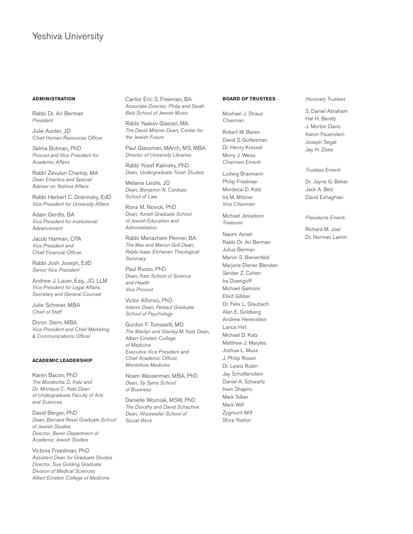### Yeshiva University

#### **ADMINISTRATION**

Rabbi Dr. Ari Berman *President*

Julie Auster, JD *Chief Human Resources Officer*

Selma Botman, PhD *Provost and Vice President for Academic Affairs*

Rabbi Zevulun Charlop, MA *Dean Emeritus and Special Adviser on Yeshiva Affairs*

Rabbi Herbert C. Dobrinsky, EdD *Vice President for University Affairs*

Adam Gerdts, BA *Vice President for Institutional Advancement*

Jacob Harman, CPA *Vice President and Chief Financial Officer*

Rabbi Josh Joseph, EdD *Senior Vice President*

Andrew J. Lauer, Esq., JD, LLM *Vice President for Legal Affairs, Secretary and General Counsel*

Julie Schreier, MBA *Chief of Staff*

Doron Stern, MBA *Vice President and Chief Marketing & Communications Officer*

#### **ACADEMIC LEADERSHIP**

Karen Bacon, PhD *The Mordechai D. Katz and Dr. Monique C. Katz Dean of Undergraduate Faculty of Arts and Sciences*

David Berger, PhD *Dean, Bernard Revel Graduate School of Jewish Studies Director, Beren Department of Academic Jewish Studies*

Victoria Freedman, PhD *Assistant Dean for Graduate Studies Director, Sue Golding Graduate Division of Medical Sciences Albert Einstein College of Medicine*

Cantor Eric S. Freeman, BA *Associate Director, Philip and Sarah Belz School of Jewish Music*

Rabbi Yaakov Glasser, MA *The David Mitzner Dean, Center for the Jewish Future*

Paul Glassman, MArch, MS, MBA *Director of University Libraries*

Rabbi Yosef Kalinsky, PhD *Dean, Undergraduate Torah Studies*

Melanie Leslie, JD *Dean, Benjamin N. Cardozo School of Law*

Rona M. Novick, PhD *Dean, Azrieli Graduate School of Jewish Education and Administration*

Rabbi Menachem Penner, BA *The Max and Marion Grill Dean, Rabbi Isaac Elchanan Theological Seminary*

Paul Russo, PhD *Dean, Katz School of Science and Health Vice Provost*

Victor Alfonso, PhD *Interim Dean, Ferkauf Graduate School of Psychology*

Gordon F. Tomaselli, MD *The Marilyn and Stanley M. Katz Dean, Albert Einstein College of Medicine Executive Vice President and Chief Academic Officer, Montefiore Medicine*

Noam Wasserman, MBA, PhD *Dean, Sy Syms School of Business*

Danielle Wozniak, MSW, PhD *The Dorothy and David Schachne Dean, Wurzweiler School of Social Work*

#### **BOARD OF TRUSTEES**

Moshael J. Straus *Chairman*

Robert M. Beren David S. Gottesman Dr. Henry Kressel Morry J. Weiss *Chairmen Emeriti*

Ludwig Bravmann Philip Friedman Mordecai D. Katz Ira M. Mitzner *Vice Chairmen*

Michael Jesselson *Treasurer*

Naomi Azrieli Rabbi Dr. Ari Berman Julius Berman Marvin S. Bienenfeld Marjorie Diener Blenden Sender Z. Cohen Ira Dizengoff Michael Gamson Elliot Gibber Dr. Felix L. Glaubach Alan E. Goldberg Andrew Herenstein Lance Hirt Michael D. Katz Matthew J. Maryles Joshua L. Muss J. Philip Rosen Dr. Lewis Rubin Jay Schottenstein Daniel A. Schwartz Irwin Shapiro Mark Silber Mark Wilf Zygmunt Wilf Shira Yoshor

#### *Honorary Trustees*

S. Daniel Abraham Hal H. Beretz J. Morton Davis Aaron Feuerstein Joseph Segal Jay H. Zises

*Trustees Emeriti*

Dr. Jayne G. Beker Jack A. Belz David Eshaghian

#### *Presidents Emeriti*

Richard M. Joel Dr. Norman Lamm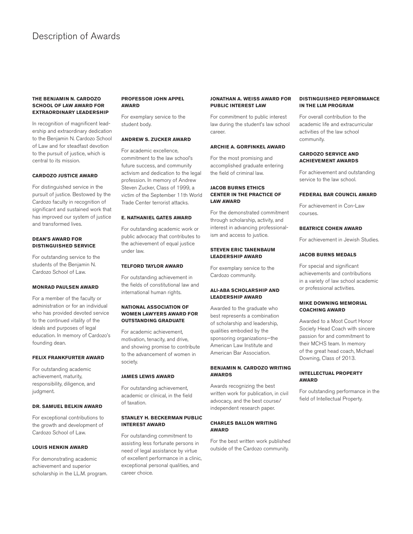### Description of Awards

#### **THE BENJAMIN N. CARDOZO SCHOOL OF LAW AWARD FOR EXTRAORDINARY LEADERSHIP**

In recognition of magnificent leadership and extraordinary dedication to the Benjamin N. Cardozo School of Law and for steadfast devotion to the pursuit of justice, which is central to its mission.

#### **CARDOZO JUSTICE AWARD**

For distinguished service in the pursuit of justice. Bestowed by the Cardozo faculty in recognition of significant and sustained work that has improved our system of justice and transformed lives.

#### **DEAN'S AWARD FOR DISTINGUISHED SERVICE**

For outstanding service to the students of the Benjamin N. Cardozo School of Law.

#### **MONRAD PAULSEN AWARD**

For a member of the faculty or administration or for an individual who has provided devoted service to the continued vitality of the ideals and purposes of legal education. In memory of Cardozo's founding dean.

#### **FELIX FRANKFURTER AWARD**

For outstanding academic achievement, maturity, responsibility, diligence, and judgment.

#### **DR. SAMUEL BELKIN AWARD**

For exceptional contributions to the growth and development of Cardozo School of Law.

#### **LOUIS HENKIN AWARD**

For demonstrating academic achievement and superior scholarship in the LL.M. program.

#### **PROFESSOR JOHN APPEL AWARD**

For exemplary service to the student body.

#### **ANDREW S. ZUCKER AWARD**

For academic excellence, commitment to the law school's future success, and community activism and dedication to the legal profession. In memory of Andrew Steven Zucker, Class of 1999, a victim of the September 11th World Trade Center terrorist attacks.

#### **E. NATHANIEL GATES AWARD**

For outstanding academic work or public advocacy that contributes to the achievement of equal justice under law.

#### **TELFORD TAYLOR AWARD**

For outstanding achievement in the fields of constitutional law and international human rights.

#### **NATIONAL ASSOCIATION OF WOMEN LAWYERS AWARD FOR OUTSTANDING GRADUATE**

For academic achievement, motivation, tenacity, and drive, and showing promise to contribute to the advancement of women in society.

#### **JAMES LEWIS AWARD**

For outstanding achievement, academic or clinical, in the field of taxation.

#### **STANLEY H. BECKERMAN PUBLIC INTEREST AWARD**

For outstanding commitment to assisting less fortunate persons in need of legal assistance by virtue of excellent performance in a clinic, exceptional personal qualities, and career choice.

#### **JONATHAN A. WEISS AWARD FOR PUBLIC INTEREST LAW**

For commitment to public interest law during the student's law school career.

#### **ARCHIE A. GORFINKEL AWARD**

For the most promising and accomplished graduate entering the field of criminal law.

#### **JACOB BURNS ETHICS CENTER IN THE PRACTICE OF LAW AWARD**

For the demonstrated commitment through scholarship, activity, and interest in advancing professionalism and access to justice.

#### **STEVEN ERIC TANENBAUM LEADERSHIP AWARD**

For exemplary service to the Cardozo community.

#### **ALI-ABA SCHOLARSHIP AND LEADERSHIP AWARD**

Awarded to the graduate who best represents a combination of scholarship and leadership, qualities embodied by the sponsoring organizations—the American Law Institute and American Bar Association.

#### **BENJAMIN N. CARDOZO WRITING AWARDS**

Awards recognizing the best written work for publication, in civil advocacy, and the best course/ independent research paper.

#### **CHARLES BALLON WRITING AWARD**

For the best written work published outside of the Cardozo community.

#### **DISTINGUISHED PERFORMANCE IN THE LLM PROGRAM**

For overall contribution to the academic life and extracurricular activities of the law school community.

#### **CARDOZO SERVICE AND ACHIEVEMENT AWARDS**

For achievement and outstanding service to the law school.

#### **FEDERAL BAR COUNCIL AWARD**

For achievement in Con-Law courses.

#### **BEATRICE COHEN AWARD**

For achievement in Jewish Studies.

#### **JACOB BURNS MEDALS**

For special and significant achievements and contributions in a variety of law school academic or professional activities.

#### **MIKE DOWNING MEMORIAL COACHING AWARD**

Awarded to a Moot Court Honor Society Head Coach with sincere passion for and commitment to their MCHS team. In memory of the great head coach, Michael Downing, Class of 2013.

#### **INTELLECTUAL PROPERTY AWARD**

For outstanding performance in the field of Intellectual Property.